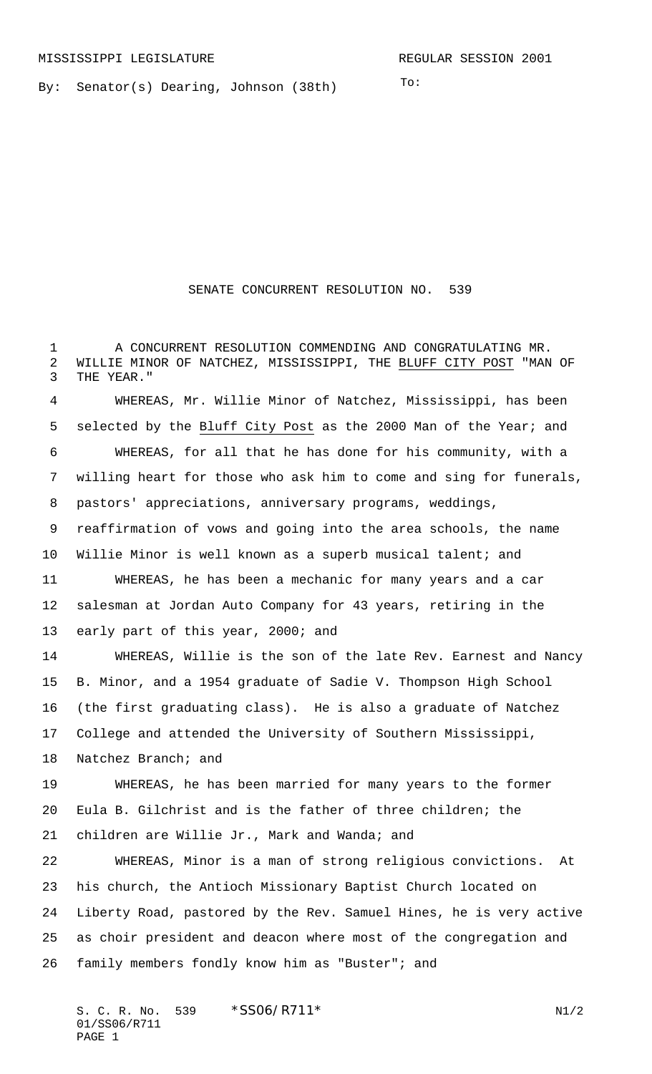To:

By: Senator(s) Dearing, Johnson (38th)

SENATE CONCURRENT RESOLUTION NO. 539

 A CONCURRENT RESOLUTION COMMENDING AND CONGRATULATING MR. WILLIE MINOR OF NATCHEZ, MISSISSIPPI, THE BLUFF CITY POST "MAN OF THE YEAR."

 WHEREAS, Mr. Willie Minor of Natchez, Mississippi, has been selected by the Bluff City Post as the 2000 Man of the Year; and WHEREAS, for all that he has done for his community, with a willing heart for those who ask him to come and sing for funerals, pastors' appreciations, anniversary programs, weddings, reaffirmation of vows and going into the area schools, the name Willie Minor is well known as a superb musical talent; and WHEREAS, he has been a mechanic for many years and a car salesman at Jordan Auto Company for 43 years, retiring in the 13 early part of this year, 2000; and WHEREAS, Willie is the son of the late Rev. Earnest and Nancy B. Minor, and a 1954 graduate of Sadie V. Thompson High School (the first graduating class). He is also a graduate of Natchez

College and attended the University of Southern Mississippi,

Natchez Branch; and

 WHEREAS, he has been married for many years to the former Eula B. Gilchrist and is the father of three children; the children are Willie Jr., Mark and Wanda; and

 WHEREAS, Minor is a man of strong religious convictions. At his church, the Antioch Missionary Baptist Church located on Liberty Road, pastored by the Rev. Samuel Hines, he is very active as choir president and deacon where most of the congregation and family members fondly know him as "Buster"; and

S. C. R. No. 539  $*SS06/RT11*$  N1/2 01/SS06/R711 PAGE 1